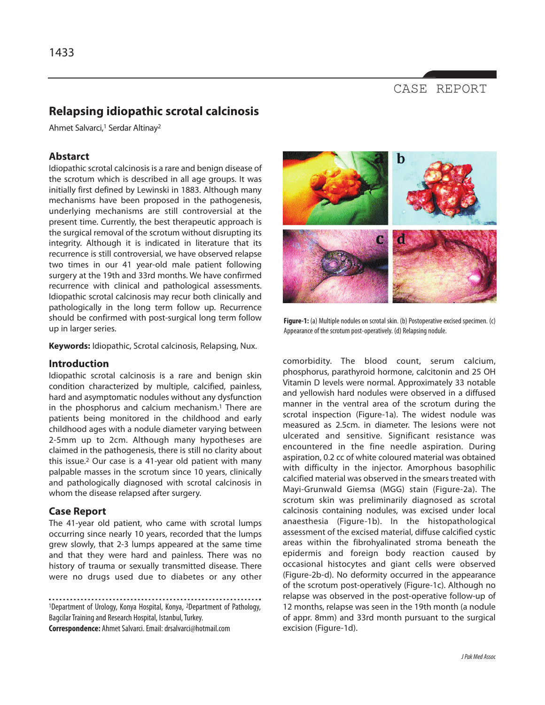# CASE REPORT

# **Relapsing idiopathic scrotal calcinosis**

Ahmet Salvarci,<sup>1</sup> Serdar Altinay<sup>2</sup>

## **Abstarct**

Idiopathic scrotal calcinosis is a rare and benign disease of the scrotum which is described in all age groups. It was initially first defined by Lewinski in 1883. Although many mechanisms have been proposed in the pathogenesis, underlying mechanisms are still controversial at the present time. Currently, the best therapeutic approach is the surgical removal of the scrotum without disrupting its integrity. Although it is indicated in literature that its recurrence is still controversial, we have observed relapse two times in our 41 year-old male patient following surgery at the 19th and 33rd months. We have confirmed recurrence with clinical and pathological assessments. Idiopathic scrotal calcinosis may recur both clinically and pathologically in the long term follow up. Recurrence should be confirmed with post-surgical long term follow up in larger series.

**Keywords:** Idiopathic, Scrotal calcinosis, Relapsing, Nux.

#### **Introduction**

Idiopathic scrotal calcinosis is a rare and benign skin condition characterized by multiple, calcified, painless, hard and asymptomatic nodules without any dysfunction in the phosphorus and calcium mechanism.<sup>1</sup> There are patients being monitored in the childhood and early childhood ages with a nodule diameter varying between 2-5mm up to 2cm. Although many hypotheses are claimed in the pathogenesis, there is still no clarity about this issue.<sup>2</sup> Our case is a 41-year old patient with many palpable masses in the scrotum since 10 years, clinically and pathologically diagnosed with scrotal calcinosis in whom the disease relapsed after surgery.

#### **Case Report**

The 41-year old patient, who came with scrotal lumps occurring since nearly 10 years, recorded that the lumps grew slowly, that 2-3 lumps appeared at the same time and that they were hard and painless. There was no history of trauma or sexually transmitted disease. There were no drugs used due to diabetes or any other

. . . . . <sup>1</sup>Department of Urology, Konya Hospital, Konya, 2Department of Pathology, Bagcilar Training and Research Hospital, Istanbul, Turkey. **Correspondence:** Ahmet Salvarci. Email: drsalvarci@hotmail.com



**Figure-1:** (a) Multiple nodules on scrotal skin. (b) Postoperative excised specimen. (c) Appearance of the scrotum post-operatively. (d) Relapsing nodule.

comorbidity. The blood count, serum calcium, phosphorus, parathyroid hormone, calcitonin and 25 OH Vitamin D levels were normal. Approximately 33 notable and yellowish hard nodules were observed in a diffused manner in the ventral area of the scrotum during the scrotal inspection (Figure-1a). The widest nodule was measured as 2.5cm. in diameter. The lesions were not ulcerated and sensitive. Significant resistance was encountered in the fine needle aspiration. During aspiration, 0.2 cc of white coloured material was obtained with difficulty in the injector. Amorphous basophilic calcified material was observed in the smears treated with Mayi-Grunwald Giemsa (MGG) stain (Figure-2a). The scrotum skin was preliminarily diagnosed as scrotal calcinosis containing nodules, was excised under local anaesthesia (Figure-1b). In the histopathological assessment of the excised material, diffuse calcified cystic areas within the fibrohyalinated stroma beneath the epidermis and foreign body reaction caused by occasional histocytes and giant cells were observed (Figure-2b-d). No deformity occurred in the appearance of the scrotum post-operatively (Figure-1c). Although no relapse was observed in the post-operative follow-up of 12 months, relapse was seen in the 19th month (a nodule of appr. 8mm) and 33rd month pursuant to the surgical excision (Figure-1d).